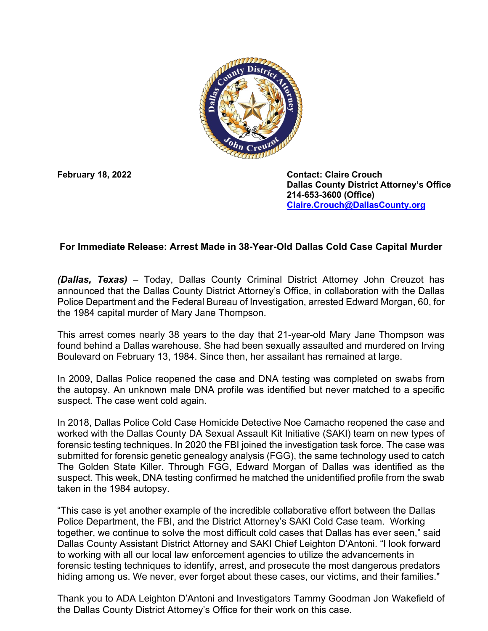

**February 18, 2022 Contact: Claire Crouch Dallas County District Attorney's Office 214-653-3600 (Office) [Claire.Crouch@DallasCounty.org](mailto:Claire.Crouch@DallasCounty.org)**

## **For Immediate Release: Arrest Made in 38-Year-Old Dallas Cold Case Capital Murder**

*(Dallas, Texas)* – Today, Dallas County Criminal District Attorney John Creuzot has announced that the Dallas County District Attorney's Office, in collaboration with the Dallas Police Department and the Federal Bureau of Investigation, arrested Edward Morgan, 60, for the 1984 capital murder of Mary Jane Thompson.

This arrest comes nearly 38 years to the day that 21-year-old Mary Jane Thompson was found behind a Dallas warehouse. She had been sexually assaulted and murdered on Irving Boulevard on February 13, 1984. Since then, her assailant has remained at large.

In 2009, Dallas Police reopened the case and DNA testing was completed on swabs from the autopsy. An unknown male DNA profile was identified but never matched to a specific suspect. The case went cold again.

In 2018, Dallas Police Cold Case Homicide Detective Noe Camacho reopened the case and worked with the Dallas County DA Sexual Assault Kit Initiative (SAKI) team on new types of forensic testing techniques. In 2020 the FBI joined the investigation task force. The case was submitted for forensic genetic genealogy analysis (FGG), the same technology used to catch The Golden State Killer. Through FGG, Edward Morgan of Dallas was identified as the suspect. This week, DNA testing confirmed he matched the unidentified profile from the swab taken in the 1984 autopsy.

"This case is yet another example of the incredible collaborative effort between the Dallas Police Department, the FBI, and the District Attorney's SAKI Cold Case team. Working together, we continue to solve the most difficult cold cases that Dallas has ever seen," said Dallas County Assistant District Attorney and SAKI Chief Leighton D'Antoni. "I look forward to working with all our local law enforcement agencies to utilize the advancements in forensic testing techniques to identify, arrest, and prosecute the most dangerous predators hiding among us. We never, ever forget about these cases, our victims, and their families."

Thank you to ADA Leighton D'Antoni and Investigators Tammy Goodman Jon Wakefield of the Dallas County District Attorney's Office for their work on this case.